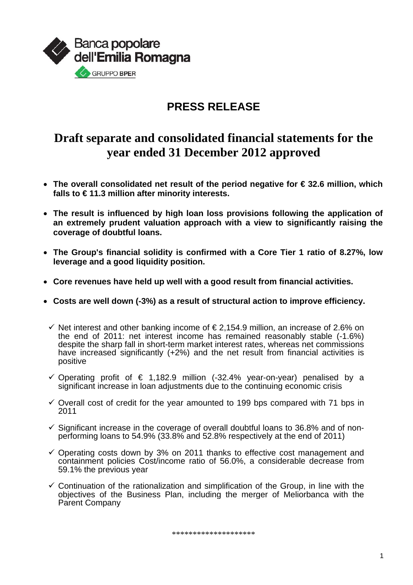

### **PRESS RELEASE**

### **Draft separate and consolidated financial statements for the year ended 31 December 2012 approved**

- **The overall consolidated net result of the period negative for € 32.6 million, which falls to € 11.3 million after minority interests.**
- **The result is influenced by high loan loss provisions following the application of an extremely prudent valuation approach with a view to significantly raising the coverage of doubtful loans.**
- **The Group's financial solidity is confirmed with a Core Tier 1 ratio of 8.27%, low leverage and a good liquidity position.**
- **Core revenues have held up well with a good result from financial activities.**
- **Costs are well down (-3%) as a result of structural action to improve efficiency.** 
	- $\checkmark$  Net interest and other banking income of  $\in$  2,154.9 million, an increase of 2.6% on the end of 2011: net interest income has remained reasonably stable (-1.6%) despite the sharp fall in short-term market interest rates, whereas net commissions have increased significantly (+2%) and the net result from financial activities is positive
	- $\checkmark$  Operating profit of € 1,182.9 million (-32.4% year-on-year) penalised by a significant increase in loan adjustments due to the continuing economic crisis
	- $\checkmark$  Overall cost of credit for the year amounted to 199 bps compared with 71 bps in 2011
	- $\checkmark$  Significant increase in the coverage of overall doubtful loans to 36.8% and of nonperforming loans to 54.9% (33.8% and 52.8% respectively at the end of 2011)
	- $\checkmark$  Operating costs down by 3% on 2011 thanks to effective cost management and containment policies Cost/income ratio of 56.0%, a considerable decrease from 59.1% the previous year
	- $\checkmark$  Continuation of the rationalization and simplification of the Group, in line with the objectives of the Business Plan, including the merger of Meliorbanca with the Parent Company

\*\*\*\*\*\*\*\*\*\*\*\*\*\*\*\*\*\*\*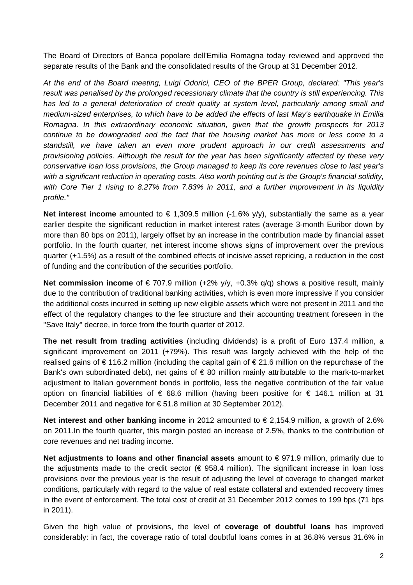The Board of Directors of Banca popolare dell'Emilia Romagna today reviewed and approved the separate results of the Bank and the consolidated results of the Group at 31 December 2012.

*At the end of the Board meeting, Luigi Odorici, CEO of the BPER Group, declared: "This year's result was penalised by the prolonged recessionary climate that the country is still experiencing. This*  has led to a general deterioration of credit quality at system level, particularly among small and *medium-sized enterprises, to which have to be added the effects of last May's earthquake in Emilia Romagna. In this extraordinary economic situation, given that the growth prospects for 2013 continue to be downgraded and the fact that the housing market has more or less come to a standstill, we have taken an even more prudent approach in our credit assessments and provisioning policies. Although the result for the year has been significantly affected by these very conservative loan loss provisions, the Group managed to keep its core revenues close to last year's*  with a significant reduction in operating costs. Also worth pointing out is the Group's financial solidity, *with Core Tier 1 rising to 8.27% from 7.83% in 2011, and a further improvement in its liquidity profile."* 

**Net interest income** amounted to € 1,309.5 million  $(-1.6\% y/y)$ , substantially the same as a year earlier despite the significant reduction in market interest rates (average 3-month Euribor down by more than 80 bps on 2011), largely offset by an increase in the contribution made by financial asset portfolio. In the fourth quarter, net interest income shows signs of improvement over the previous quarter (+1.5%) as a result of the combined effects of incisive asset repricing, a reduction in the cost of funding and the contribution of the securities portfolio.

**Net commission income** of € 707.9 million (+2% y/y, +0.3% q/q) shows a positive result, mainly due to the contribution of traditional banking activities, which is even more impressive if you consider the additional costs incurred in setting up new eligible assets which were not present in 2011 and the effect of the regulatory changes to the fee structure and their accounting treatment foreseen in the "Save Italy" decree, in force from the fourth quarter of 2012.

**The net result from trading activities** (including dividends) is a profit of Euro 137.4 million, a significant improvement on 2011 (+79%). This result was largely achieved with the help of the realised gains of  $\epsilon$  116.2 million (including the capital gain of  $\epsilon$  21.6 million on the repurchase of the Bank's own subordinated debt), net gains of  $\epsilon$  80 million mainly attributable to the mark-to-market adjustment to Italian government bonds in portfolio, less the negative contribution of the fair value option on financial liabilities of € 68.6 million (having been positive for € 146.1 million at 31 December 2011 and negative for € 51.8 million at 30 September 2012).

**Net interest and other banking income** in 2012 amounted to € 2,154.9 million, a growth of 2.6% on 2011.In the fourth quarter, this margin posted an increase of 2.5%, thanks to the contribution of core revenues and net trading income.

**Net adiustments to loans and other financial assets** amount to €971.9 million, primarily due to the adjustments made to the credit sector ( $\epsilon$  958.4 million). The significant increase in loan loss provisions over the previous year is the result of adjusting the level of coverage to changed market conditions, particularly with regard to the value of real estate collateral and extended recovery times in the event of enforcement. The total cost of credit at 31 December 2012 comes to 199 bps (71 bps in 2011).

Given the high value of provisions, the level of **coverage of doubtful loans** has improved considerably: in fact, the coverage ratio of total doubtful loans comes in at 36.8% versus 31.6% in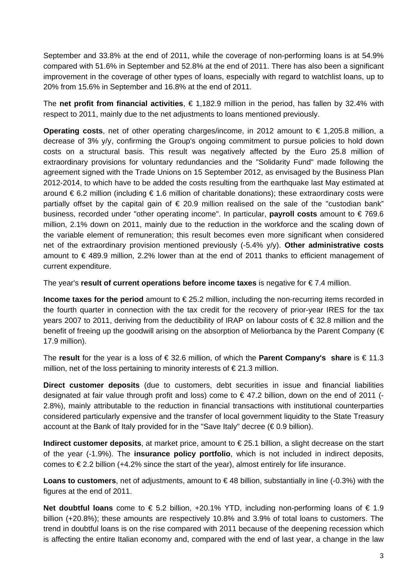September and 33.8% at the end of 2011, while the coverage of non-performing loans is at 54.9% compared with 51.6% in September and 52.8% at the end of 2011. There has also been a significant improvement in the coverage of other types of loans, especially with regard to watchlist loans, up to 20% from 15.6% in September and 16.8% at the end of 2011.

The **net profit from financial activities**, € 1,182.9 million in the period, has fallen by 32.4% with respect to 2011, mainly due to the net adjustments to loans mentioned previously.

**Operating costs**, net of other operating charges/income, in 2012 amount to € 1,205.8 million, a decrease of 3% y/y, confirming the Group's ongoing commitment to pursue policies to hold down costs on a structural basis. This result was negatively affected by the Euro 25.8 million of extraordinary provisions for voluntary redundancies and the "Solidarity Fund" made following the agreement signed with the Trade Unions on 15 September 2012, as envisaged by the Business Plan 2012-2014, to which have to be added the costs resulting from the earthquake last May estimated at around €6.2 million (including €1.6 million of charitable donations); these extraordinary costs were partially offset by the capital gain of  $\epsilon$  20.9 million realised on the sale of the "custodian bank" business, recorded under "other operating income". In particular, **payroll costs** amount to € 769.6 million, 2.1% down on 2011, mainly due to the reduction in the workforce and the scaling down of the variable element of remuneration; this result becomes even more significant when considered net of the extraordinary provision mentioned previously (-5.4% y/y). **Other administrative costs**  amount to € 489.9 million, 2.2% lower than at the end of 2011 thanks to efficient management of current expenditure.

The year's **result of current operations before income taxes** is negative for € 7.4 million.

**Income taxes for the period** amount to € 25.2 million, including the non-recurring items recorded in the fourth quarter in connection with the tax credit for the recovery of prior-year IRES for the tax years 2007 to 2011, deriving from the deductibility of IRAP on labour costs of € 32.8 million and the benefit of freeing up the goodwill arising on the absorption of Meliorbanca by the Parent Company (€ 17.9 million).

The **result** for the year is a loss of € 32.6 million, of which the **Parent Company's share** is € 11.3 million, net of the loss pertaining to minority interests of  $\epsilon$  21.3 million.

**Direct customer deposits** (due to customers, debt securities in issue and financial liabilities designated at fair value through profit and loss) come to  $\epsilon$  47.2 billion, down on the end of 2011 (-2.8%), mainly attributable to the reduction in financial transactions with institutional counterparties considered particularly expensive and the transfer of local government liquidity to the State Treasury account at the Bank of Italy provided for in the "Save Italy" decree ( $\epsilon$ 0.9 billion).

**Indirect customer deposits**, at market price, amount to € 25.1 billion, a slight decrease on the start of the year (-1.9%). The **insurance policy portfolio**, which is not included in indirect deposits, comes to  $\epsilon$  2.2 billion (+4.2% since the start of the year), almost entirely for life insurance.

**Loans to customers**, net of adjustments, amount to € 48 billion, substantially in line (-0.3%) with the figures at the end of 2011.

**Net doubtful loans** come to € 5.2 billion, +20.1% YTD, including non-performing loans of € 1.9 billion (+20.8%); these amounts are respectively 10.8% and 3.9% of total loans to customers. The trend in doubtful loans is on the rise compared with 2011 because of the deepening recession which is affecting the entire Italian economy and, compared with the end of last year, a change in the law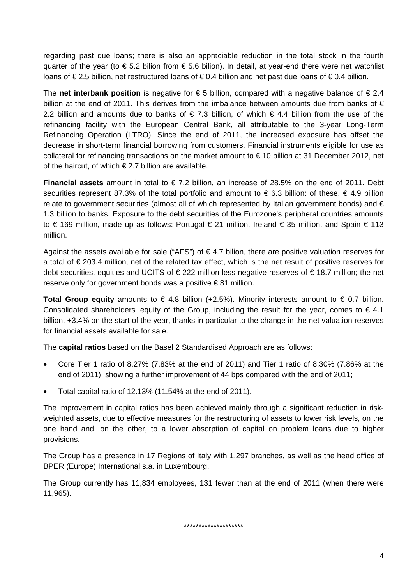regarding past due loans; there is also an appreciable reduction in the total stock in the fourth quarter of the year (to  $\epsilon$  5.2 bilion from  $\epsilon$  5.6 bilion). In detail, at year-end there were net watchlist loans of € 2.5 billion, net restructured loans of € 0.4 billion and net past due loans of € 0.4 billion.

The **net interbank position** is negative for  $\epsilon$  5 billion, compared with a negative balance of  $\epsilon$  2.4 billion at the end of 2011. This derives from the imbalance between amounts due from banks of  $\epsilon$ 2.2 billion and amounts due to banks of €7.3 billion, of which €4.4 billion from the use of the refinancing facility with the European Central Bank, all attributable to the 3-year Long-Term Refinancing Operation (LTRO). Since the end of 2011, the increased exposure has offset the decrease in short-term financial borrowing from customers. Financial instruments eligible for use as collateral for refinancing transactions on the market amount to € 10 billion at 31 December 2012, net of the haircut, of which  $\epsilon$  2.7 billion are available.

**Financial assets** amount in total to € 7.2 billion, an increase of 28.5% on the end of 2011. Debt securities represent 87.3% of the total portfolio and amount to  $\epsilon$  6.3 billion: of these,  $\epsilon$  4.9 billion relate to government securities (almost all of which represented by Italian government bonds) and  $\epsilon$ 1.3 billion to banks. Exposure to the debt securities of the Eurozone's peripheral countries amounts to € 169 million, made up as follows: Portugal € 21 million, Ireland € 35 million, and Spain € 113 million.

Against the assets available for sale ("AFS") of  $\epsilon$  4.7 bilion, there are positive valuation reserves for a total of € 203.4 million, net of the related tax effect, which is the net result of positive reserves for debt securities, equities and UCITS of € 222 million less negative reserves of € 18.7 million; the net reserve only for government bonds was a positive  $\in$  81 million.

**Total Group equity** amounts to €4.8 billion (+2.5%). Minority interests amount to €0.7 billion. Consolidated shareholders' equity of the Group, including the result for the year, comes to  $\epsilon$  4.1 billion, +3.4% on the start of the year, thanks in particular to the change in the net valuation reserves for financial assets available for sale.

The **capital ratios** based on the Basel 2 Standardised Approach are as follows:

- Core Tier 1 ratio of 8.27% (7.83% at the end of 2011) and Tier 1 ratio of 8.30% (7.86% at the end of 2011), showing a further improvement of 44 bps compared with the end of 2011;
- Total capital ratio of 12.13% (11.54% at the end of 2011).

The improvement in capital ratios has been achieved mainly through a significant reduction in riskweighted assets, due to effective measures for the restructuring of assets to lower risk levels, on the one hand and, on the other, to a lower absorption of capital on problem loans due to higher provisions.

The Group has a presence in 17 Regions of Italy with 1,297 branches, as well as the head office of BPER (Europe) International s.a. in Luxembourg.

The Group currently has 11,834 employees, 131 fewer than at the end of 2011 (when there were 11,965).

\*\*\*\*\*\*\*\*\*\*\*\*\*\*\*\*\*\*\*\*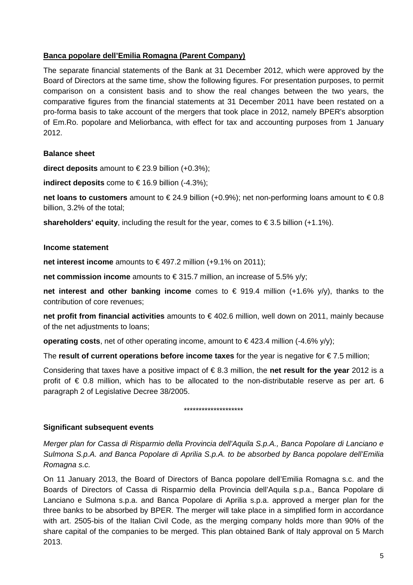### **Banca popolare dell'Emilia Romagna (Parent Company)**

The separate financial statements of the Bank at 31 December 2012, which were approved by the Board of Directors at the same time, show the following figures. For presentation purposes, to permit comparison on a consistent basis and to show the real changes between the two years, the comparative figures from the financial statements at 31 December 2011 have been restated on a pro-forma basis to take account of the mergers that took place in 2012, namely BPER's absorption of Em.Ro. popolare and Meliorbanca, with effect for tax and accounting purposes from 1 January 2012.

### **Balance sheet**

**direct deposits** amount to € 23.9 billion (+0.3%);

**indirect deposits** come to  $\in$  16.9 billion (-4.3%);

**net loans to customers** amount to € 24.9 billion (+0.9%); net non-performing loans amount to € 0.8 billion, 3.2% of the total;

**shareholders' equity**, including the result for the year, comes to €3.5 billion  $(+1.1\%)$ .

#### **Income statement**

**net interest income** amounts to €497.2 million (+9.1% on 2011);

**net commission income** amounts to € 315.7 million, an increase of 5.5% y/y;

**net interest and other banking income** comes to € 919.4 million (+1.6% y/y), thanks to the contribution of core revenues;

**net profit from financial activities** amounts to €402.6 million, well down on 2011, mainly because of the net adjustments to loans;

**operating costs**, net of other operating income, amount to  $\in$  423.4 million (-4.6% y/y);

The **result of current operations before income taxes** for the year is negative for € 7.5 million;

Considering that taxes have a positive impact of € 8.3 million, the **net result for the year** 2012 is a profit of  $\epsilon$  0.8 million, which has to be allocated to the non-distributable reserve as per art. 6 paragraph 2 of Legislative Decree 38/2005.

\*\*\*\*\*\*\*\*\*\*\*\*\*\*\*\*\*\*\*\*

#### **Significant subsequent events**

*Merger plan for Cassa di Risparmio della Provincia dell'Aquila S.p.A., Banca Popolare di Lanciano e Sulmona S.p.A. and Banca Popolare di Aprilia S.p.A. to be absorbed by Banca popolare dell'Emilia Romagna s.c.* 

On 11 January 2013, the Board of Directors of Banca popolare dell'Emilia Romagna s.c. and the Boards of Directors of Cassa di Risparmio della Provincia dell'Aquila s.p.a., Banca Popolare di Lanciano e Sulmona s.p.a. and Banca Popolare di Aprilia s.p.a. approved a merger plan for the three banks to be absorbed by BPER. The merger will take place in a simplified form in accordance with art. 2505-bis of the Italian Civil Code, as the merging company holds more than 90% of the share capital of the companies to be merged. This plan obtained Bank of Italy approval on 5 March 2013.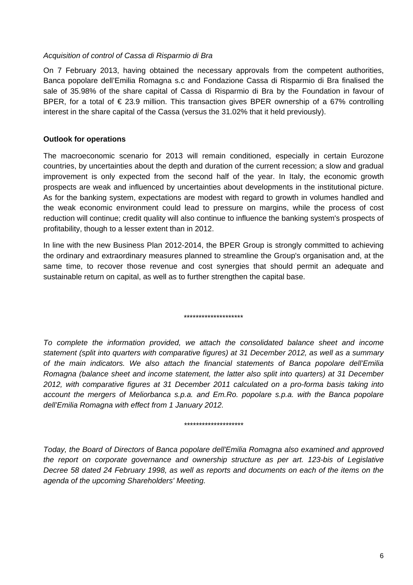#### *Acquisition of control of Cassa di Risparmio di Bra*

On 7 February 2013, having obtained the necessary approvals from the competent authorities, Banca popolare dell'Emilia Romagna s.c and Fondazione Cassa di Risparmio di Bra finalised the sale of 35.98% of the share capital of Cassa di Risparmio di Bra by the Foundation in favour of BPER, for a total of  $\epsilon$  23.9 million. This transaction gives BPER ownership of a 67% controlling interest in the share capital of the Cassa (versus the 31.02% that it held previously).

### **Outlook for operations**

The macroeconomic scenario for 2013 will remain conditioned, especially in certain Eurozone countries, by uncertainties about the depth and duration of the current recession; a slow and gradual improvement is only expected from the second half of the year. In Italy, the economic growth prospects are weak and influenced by uncertainties about developments in the institutional picture. As for the banking system, expectations are modest with regard to growth in volumes handled and the weak economic environment could lead to pressure on margins, while the process of cost reduction will continue; credit quality will also continue to influence the banking system's prospects of profitability, though to a lesser extent than in 2012.

In line with the new Business Plan 2012-2014, the BPER Group is strongly committed to achieving the ordinary and extraordinary measures planned to streamline the Group's organisation and, at the same time, to recover those revenue and cost synergies that should permit an adequate and sustainable return on capital, as well as to further strengthen the capital base.

\*\*\*\*\*\*\*\*\*\*\*\*\*\*\*\*\*\*\*\*

*To complete the information provided, we attach the consolidated balance sheet and income statement (split into quarters with comparative figures) at 31 December 2012, as well as a summary of the main indicators. We also attach the financial statements of Banca popolare dell'Emilia Romagna (balance sheet and income statement, the latter also split into quarters) at 31 December 2012, with comparative figures at 31 December 2011 calculated on a pro-forma basis taking into account the mergers of Meliorbanca s.p.a. and Em.Ro. popolare s.p.a. with the Banca popolare dell'Emilia Romagna with effect from 1 January 2012.* 

#### *\*\*\*\*\*\*\*\*\*\*\*\*\*\*\*\*\*\*\*\**

*Today, the Board of Directors of Banca popolare dell'Emilia Romagna also examined and approved the report on corporate governance and ownership structure as per art. 123-bis of Legislative Decree 58 dated 24 February 1998, as well as reports and documents on each of the items on the agenda of the upcoming Shareholders' Meeting.*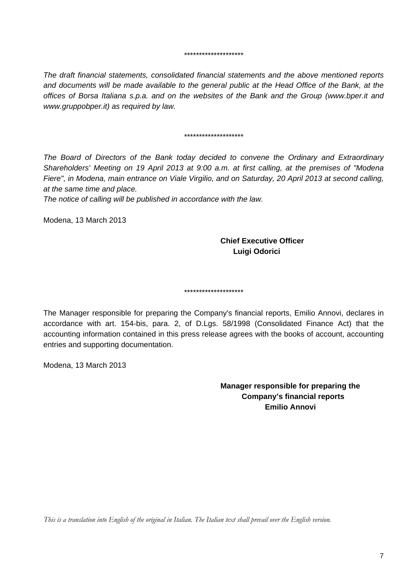#### *\*\*\*\*\*\*\*\*\*\*\*\*\*\*\*\*\*\*\*\**

*The draft financial statements, consolidated financial statements and the above mentioned reports*  and documents will be made available to the general public at the Head Office of the Bank, at the *offices of Borsa Italiana s.p.a. and on the websites of the Bank and the Group (www.bper.it and www.gruppobper.it) as required by law.* 

#### *\*\*\*\*\*\*\*\*\*\*\*\*\*\*\*\*\*\*\*\**

*The Board of Directors of the Bank today decided to convene the Ordinary and Extraordinary Shareholders' Meeting on 19 April 2013 at 9:00 a.m. at first calling, at the premises of "Modena Fiere", in Modena, main entrance on Viale Virgilio, and on Saturday, 20 April 2013 at second calling, at the same time and place.* 

*The notice of calling will be published in accordance with the law.* 

Modena, 13 March 2013

### **Chief Executive Officer Luigi Odorici**

*\*\*\*\*\*\*\*\*\*\*\*\*\*\*\*\*\*\*\*\** 

The Manager responsible for preparing the Company's financial reports, Emilio Annovi, declares in accordance with art. 154-bis, para. 2, of D.Lgs. 58/1998 (Consolidated Finance Act) that the accounting information contained in this press release agrees with the books of account, accounting entries and supporting documentation.

Modena, 13 March 2013

**Manager responsible for preparing the Company's financial reports Emilio Annovi** 

*This is a translation into English of the original in Italian. The Italian text shall prevail over the English version.*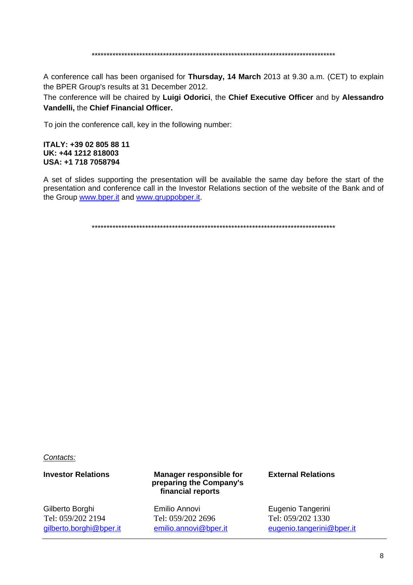A conference call has been organised for Thursday, 14 March 2013 at 9.30 a.m. (CET) to explain the BPER Group's results at 31 December 2012.

The conference will be chaired by Luigi Odorici, the Chief Executive Officer and by Alessandro Vandelli, the Chief Financial Officer.

To join the conference call, key in the following number:

#### ITALY: +39 02 805 88 11 UK: +44 1212 818003 USA: +1 718 7058794

A set of slides supporting the presentation will be available the same day before the start of the presentation and conference call in the Investor Relations section of the website of the Bank and of the Group www.bper.it and www.gruppobper.it.

Contacts:

#### **Investor Relations**

Gilberto Borghi Tel: 059/202 2194 gilberto.borghi@bper.it

#### **Manager responsible for** preparing the Company's financial reports

Emilio Annovi Tel: 059/202 2696 emilio.annovi@bper.it

#### **External Relations**

Eugenio Tangerini Tel: 059/202 1330 eugenio.tangerini@bper.it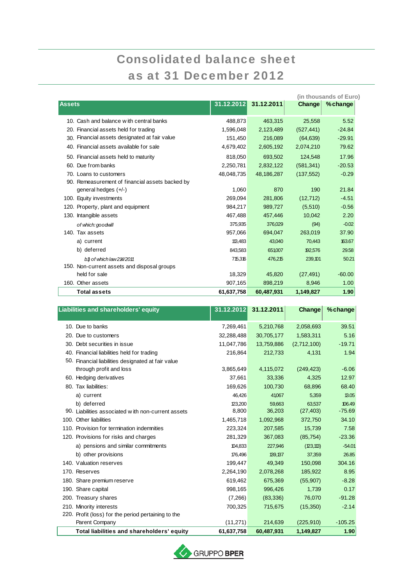# Consolidated balance sheet as at 31 December 2012

|                                                 |            |            | (in thousands of Euro) |          |
|-------------------------------------------------|------------|------------|------------------------|----------|
| <b>Assets</b>                                   | 31.12.2012 | 31.12.2011 | Change                 | %change  |
| 10. Cash and balance with central banks         | 488.873    | 463.315    | 25.558                 | 5.52     |
| 20. Financial assets held for trading           | 1,596,048  | 2,123,489  | (527, 441)             | $-24.84$ |
| 30. Financial assets designated at fair value   | 151,450    | 216,089    | (64, 639)              | $-29.91$ |
| 40. Financial assets available for sale         | 4,679,402  | 2,605,192  | 2,074,210              | 79.62    |
| 50. Financial assets held to maturity           | 818,050    | 693,502    | 124,548                | 17.96    |
| 60. Due from banks                              | 2,250,781  | 2,832,122  | (581, 341)             | $-20.53$ |
| 70. Loans to customers                          | 48.048.735 | 48,186,287 | (137, 552)             | $-0.29$  |
| 90. Remeasurement of financial assets backed by |            |            |                        |          |
| general hedges $(+/-)$                          | 1,060      | 870        | 190                    | 21.84    |
| 100. Equity investments                         | 269.094    | 281.806    | (12, 712)              | $-4.51$  |
| 120. Property, plant and equipment              | 984,217    | 989,727    | (5,510)                | $-0.56$  |
| 130. Intangible assets                          | 467,488    | 457,446    | 10,042                 | 2.20     |
| of which: goodwill                              | 375,935    | 376,029    | (94)                   | $-0.02$  |
| 140. Tax assets                                 | 957,066    | 694.047    | 263,019                | 37.90    |
| a) current                                      | 113,483    | 43,040     | 70,443                 | 163.67   |
| b) deferred                                     | 843,583    | 651,007    | 192,576                | 29.58    |
| b1 of which law214/2011                         | 715,316    | 476,215    | 239,101                | 50.21    |
| 150. Non-current assets and disposal groups     |            |            |                        |          |
| held for sale                                   | 18,329     | 45,820     | (27, 491)              | $-60.00$ |
| 160. Other assets                               | 907,165    | 898,219    | 8,946                  | 1.00     |
| <b>Total assets</b>                             | 61,637,758 | 60,487,931 | 1,149,827              | 1.90     |

| Liabilities and shareholders' equity                | 31.12.2012 | 31.12.2011 | Change      | % change  |
|-----------------------------------------------------|------------|------------|-------------|-----------|
| 10. Due to banks                                    | 7,269,461  | 5,210,768  | 2,058,693   | 39.51     |
| 20. Due to customers                                | 32,288,488 | 30,705,177 | 1,583,311   | 5.16      |
| 30. Debt securities in issue                        | 11,047,786 | 13,759,886 | (2,712,100) | $-19.71$  |
| 40. Financial liabilities held for trading          | 216,864    | 212,733    | 4,131       | 1.94      |
| 50. Financial liabilities designated at fair value  |            |            |             |           |
| through profit and loss                             | 3,865,649  | 4,115,072  | (249, 423)  | $-6.06$   |
| 60. Hedging derivatives                             | 37,661     | 33,336     | 4,325       | 12.97     |
| 80. Tax liabilities:                                | 169,626    | 100,730    | 68,896      | 68.40     |
| a) current                                          | 46,426     | 41,067     | 5,359       | 13.05     |
| b) deferred                                         | 123,200    | 59,663     | 63,537      | 106.49    |
| 90. Liabilities associated with non-current assets  | 8,800      | 36,203     | (27, 403)   | $-75.69$  |
| 100. Other liabilities                              | 1,465,718  | 1,092,968  | 372,750     | 34.10     |
| 110. Provision for termination indemnities          | 223,324    | 207,585    | 15,739      | 7.58      |
| 120. Provisions for risks and charges               | 281,329    | 367,083    | (85, 754)   | $-23.36$  |
| a) pensions and similar commitments                 | 104,833    | 227,946    | (123, 113)  | $-54.01$  |
| b) other provisions                                 | 176,496    | 139,137    | 37,359      | 26.85     |
| 140. Valuation reserves                             | 199,447    | 49,349     | 150,098     | 304.16    |
| 170. Reserves                                       | 2,264,190  | 2,078,268  | 185,922     | 8.95      |
| 180. Share premium reserve                          | 619,462    | 675,369    | (55,907)    | $-8.28$   |
| 190. Share capital                                  | 998,165    | 996,426    | 1,739       | 0.17      |
| 200. Treasury shares                                | (7,266)    | (83, 336)  | 76,070      | $-91.28$  |
| 210. Minority interests                             | 700,325    | 715,675    | (15,350)    | $-2.14$   |
| 220. Profit (loss) for the period pertaining to the |            |            |             |           |
| Parent Company                                      | (11, 271)  | 214,639    | (225, 910)  | $-105.25$ |
| Total liabilities and shareholders' equity          | 61,637,758 | 60,487,931 | 1,149,827   | 1.90      |

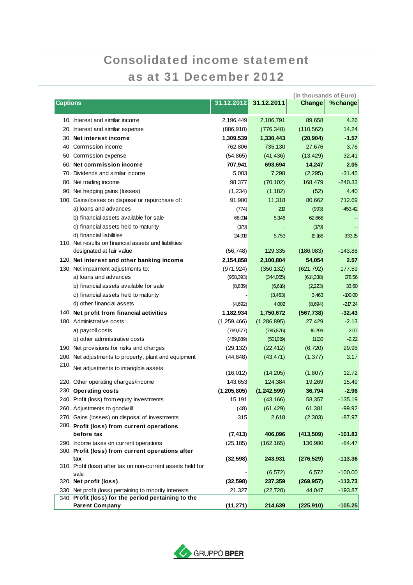# Consolidated income statement as at 31 December 2012

|                                                                                                                |               |             | (in thousands of Euro) |           |
|----------------------------------------------------------------------------------------------------------------|---------------|-------------|------------------------|-----------|
| <b>Captions</b>                                                                                                | 31.12.2012    | 31.12.2011  | Change                 | %change   |
| 10. Interest and similar income                                                                                | 2,196,449     | 2,106,791   | 89,658                 | 4.26      |
| 20. Interest and similar expense                                                                               | (886, 910)    | (776, 348)  | (110, 562)             | 14.24     |
| 30. Net interest income                                                                                        | 1,309,539     | 1,330,443   | (20, 904)              | $-1.57$   |
| 40. Commission income                                                                                          | 762,806       | 735,130     | 27,676                 | 3.76      |
| 50. Commission expense                                                                                         | (54, 865)     | (41, 436)   | (13, 429)              | 32.41     |
| 60. Net commission income                                                                                      | 707,941       | 693,694     | 14,247                 | 2.05      |
| 70. Dividends and similar income                                                                               | 5,003         | 7,298       | (2,295)                | $-31.45$  |
| 80. Net trading income                                                                                         | 98,377        | (70, 102)   | 168,479                | $-240.33$ |
| 90. Net hedging gains (losses)                                                                                 | (1,234)       | (1, 182)    | (52)                   | 4.40      |
| 100. Gains/losses on disposal or repurchase of:                                                                | 91,980        | 11,318      | 80,662                 | 712.69    |
| a) loans and advances                                                                                          | (774)         | 219         | (993)                  | $-453.42$ |
| b) financial assets available for sale                                                                         | 68,014        | 5,346       | 62,668                 |           |
| c) financial assets held to maturity                                                                           | (179)         |             | (779)                  |           |
| d) financial liabilities                                                                                       | 24,919        | 5,753       | 19,166                 | 333.15    |
| 110. Net results on financial assets and liabilities                                                           |               |             |                        |           |
| designated at fair value                                                                                       | (56, 748)     | 129,335     | (186,083)              | $-143.88$ |
| 120. Net interest and other banking income                                                                     | 2,154,858     | 2,100,804   | 54,054                 | 2.57      |
| 130. Net impairment adjustments to:                                                                            | (971, 924)    | (350, 132)  | (621, 792)             | 177.59    |
| a) loans and advances                                                                                          | (958, 393)    | (344,055)   | (614, 338)             | 178.56    |
| b) financial assets available for sale                                                                         | (8,839)       | (6,616)     | (2,223)                | 33.60     |
| c) financial assets held to maturity                                                                           |               | (3,463)     | 3,463                  | $-100.00$ |
| d) other financial assets                                                                                      | (4,692)       | 4,002       | (8,694)                | $-217.24$ |
| 140. Net profit from financial activities                                                                      | 1,182,934     | 1,750,672   | (567, 738)             | $-32.43$  |
| 180. Administrative costs:                                                                                     | (1,259,466)   | (1,286,895) | 27,429                 | $-2.13$   |
| a) payroll costs                                                                                               | (769, 577)    | (785, 876)  | 16,299                 | $-2.07$   |
| b) other administrative costs                                                                                  | (489, 889)    | (501,019)   | 11,130                 | $-2.22$   |
| 190. Net provisions for risks and charges                                                                      | (29, 132)     | (22, 412)   | (6, 720)               | 29.98     |
| 200. Net adjustments to property, plant and equipment                                                          | (44, 848)     | (43, 471)   | (1, 377)               | 3.17      |
| 210.                                                                                                           |               |             |                        |           |
| Net adjustments to intangible assets                                                                           | (16, 012)     | (14, 205)   | (1,807)                | 12.72     |
| 220. Other operating charges/income                                                                            | 143,653       | 124,384     | 19,269                 | 15.49     |
| 230. Operating costs                                                                                           | (1, 205, 805) | (1,242,599) | 36,794                 | $-2.96$   |
| 240. Profit (loss) from equity investments                                                                     | 15,191        | (43, 166)   | 58,357                 | $-135.19$ |
| 260. Adjustments to goodwill                                                                                   | (48)          | (61, 429)   | 61,381                 | $-99.92$  |
| 270. Gains (losses) on disposal of investments                                                                 | 315           | 2,618       | (2, 303)               | $-87.97$  |
| 280. Profit (loss) from current operations                                                                     |               |             |                        |           |
| before tax                                                                                                     | (7, 413)      | 406,096     | (413,509)              | $-101.83$ |
| 290. Income taxes on current operations                                                                        | (25, 185)     | (162, 165)  | 136,980                | $-84.47$  |
| 300. Profit (loss) from current operations after                                                               |               |             |                        |           |
| tax                                                                                                            | (32, 598)     | 243,931     | (276, 529)             | $-113.36$ |
| 310. Profit (loss) after tax on non-current assets held for                                                    |               |             |                        |           |
| sale                                                                                                           |               | (6, 572)    | 6,572                  | $-100.00$ |
| 320. Net profit (loss)                                                                                         | (32, 598)     | 237,359     | (269, 957)             | $-113.73$ |
| 330. Net profit (loss) pertaining to minority interests<br>340. Profit (loss) for the period pertaining to the | 21,327        | (22, 720)   | 44,047                 | $-193.87$ |
| <b>Parent Company</b>                                                                                          | (11, 271)     | 214,639     | (225, 910)             | $-105.25$ |

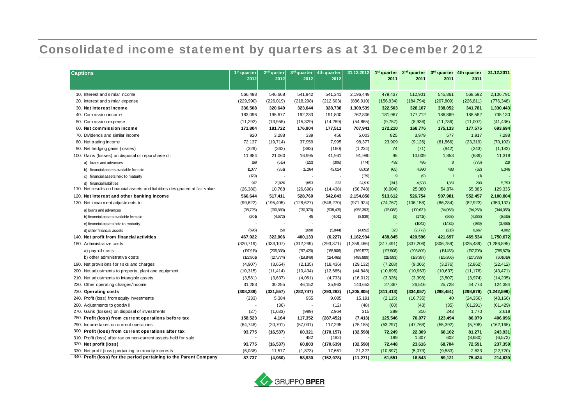## Consolidated income statement by quarters as at 31 December 2012

| <b>Captions</b>                                                               | 1 <sup>st</sup> quarter | 2 <sup>nd</sup> qurter | 3rd quarter    | 4th quarter | 31.12.2012    | $1st$ quarter | $2nd$ quarter |                | 3rd quarter 4th quarter | 31.12.2011  |
|-------------------------------------------------------------------------------|-------------------------|------------------------|----------------|-------------|---------------|---------------|---------------|----------------|-------------------------|-------------|
|                                                                               | 2012                    | 2012                   | 2012           | 2012        |               | 2011          | 2011          | 2011           | 2011                    |             |
|                                                                               |                         |                        |                |             |               |               |               |                |                         |             |
| 10. Interest and similar income                                               | 566.498                 | 546,668                | 541,942        | 541,341     | 2,196,449     | 479,437       | 512,901       | 545,861        | 568,592                 | 2,106,791   |
| 20. Interest and similar expense                                              | (229, 990)              | (226, 019)             | (218, 298)     | (212, 603)  | (886, 910)    | (156, 934)    | (184, 794)    | (207, 809)     | (226, 811)              | (776, 348)  |
| 30. Net interest income                                                       | 336,508                 | 320,649                | 323,644        | 328,738     | 1,309,539     | 322,503       | 328,107       | 338,052        | 341,781                 | 1,330,443   |
| 40. Commission income                                                         | 183,096                 | 195,677                | 192,233        | 191,800     | 762,806       | 181,967       | 177,712       | 186,869        | 188,582                 | 735,130     |
| 50. Commission expense                                                        | (11,292)                | (13,955)               | (15, 329)      | (14, 289)   | (54, 865)     | (9,757)       | (8,936)       | (11, 736)      | (11,007)                | (41, 436)   |
| 60. Net commission income                                                     | 171,804                 | 181,722                | 176,904        | 177,511     | 707,941       | 172,210       | 168,776       | 175,133        | 177,575                 | 693,694     |
| 70. Dividends and similar income                                              | 920                     | 3,288                  | 339            | 456         | 5,003         | 825           | 3,979         | 577            | 1,917                   | 7,298       |
| 80. Net trading income                                                        | 72,137                  | (19, 714)              | 37,959         | 7,995       | 98,377        | 23,909        | (9, 126)      | (61, 566)      | (23, 319)               | (70, 102)   |
| 90. Net hedging gains (losses)                                                | (329)                   | (362)                  | (383)          | (160)       | (1,234)       | 74            | (71)          | (942)          | (243)                   | (1, 182)    |
| 100. Gains (losses) on disposal or repurchase of:                             | 11,984                  | 21,060                 | 16,995         | 41,941      | 91,980        | 95            | 10,009        | 1,853          | (639)                   | 11,318      |
| a) loans and advances                                                         | 169                     | (515)                  | (122)          | (306)       | (774)         | 492           | 495           | 8              | (776)                   | 219         |
| b) financial assets available for sale                                        | 11,077                  | (351)                  | 15,264         | 42,024      | 68,014        | (65)          | 4.990         | 483            | (62)                    | 5,346       |
| c) financial assets held to maturity                                          | (179)                   |                        |                |             | (179)         | 9             | (9)           | $\overline{1}$ | (1)                     |             |
| d) financial liabilities                                                      | 917                     | 21,926                 | 1853           | 223         | 24,919        | (341)         | 4,533         | 1361           | 200                     | 5,753       |
| 110. Net results on financial assets and liabilities designated at fair value | (26, 380)               | 10,768                 | (26, 698)      | (14, 438)   | (56, 748)     | (6,004)       | 25,080        | 54,874         | 55,385                  | 129,335     |
| 120. Net interest and other banking income                                    | 566,644                 | 517,411                | 528,760        | 542,043     | 2,154,858     | 513,612       | 526,754       | 507,981        | 552,457                 | 2,100,804   |
| 130. Net impairment adjustments to:                                           | (99, 622)               | (195, 405)             | (128, 627)     | (548, 270)  | (971, 924)    | (74, 767)     | (106, 158)    | (86, 284)      | (82, 923)               | (350, 132)  |
| a) loans and advances                                                         | (98, 725)               | (190, 883)             | (130, 370)     | (538, 415)  | (958, 393)    | (75,088)      | (100, 631)    | (84,068)       | (84,268)                | (344,055)   |
| b) financial assets available for sale                                        | (201)                   | (4,672)                | 45             | (4,011)     | (8,839)       | (2)           | (1713)        | (568)          | (4, 333)                | (6,616)     |
| c) financial assets held to maturity                                          |                         |                        |                |             |               |               | (1042)        | (1,432)        | (989)                   | (3, 463)    |
| d) other financial assets                                                     | (696)                   | 150                    | 1,698          | (5,844)     | (4,692)       | 323           | (2,772)       | (216)          | 6,667                   | 4,002       |
| 140. Net profit from financial activities                                     | 467,022                 | 322,006                | 400,133        | (6, 227)    | 1,182,934     | 438,845       | 420,596       | 421,697        | 469,534                 | 1,750,672   |
| 180. Administrative costs:                                                    | (320, 719)              | (333, 107)             | (312, 269)     | (293, 371)  | (1,259,466)   | (317, 491)    | (337, 206)    | (306, 759)     | (325, 439)              | (1,286,895) |
| a) payroll costs                                                              | (197, 918)              | (205, 333)             | (197, 420)     | (168,906)   | (769, 577)    | (197,908)     | (208, 809)    | (181,453)      | (197,706)               | (785, 876)  |
| b) other administrative costs                                                 | (122,801)               | (127, 774)             | (114, 849)     | (124, 465)  | (489, 889)    | (119, 583)    | (128, 397)    | (125,306)      | (127, 733)              | (501019)    |
| 190. Net provisions for risks and charges                                     | (4,907)                 | (3,654)                | (2, 135)       | (18, 436)   | (29, 132)     | (7,268)       | (9,006)       | (3,276)        | (2,862)                 | (22, 412)   |
| 200. Net adjustments to property, plant and equipment                         | (10, 315)               | (11, 414)              | (10, 434)      | (12,685)    | (44, 848)     | (10, 695)     | (10, 963)     | (10, 637)      | (11, 176)               | (43, 471)   |
| 210. Net adjustments to intangible assets                                     | (3,581)                 | (3,637)                | (4,061)        | (4,733)     | (16, 012)     | (3,326)       | (3,398)       | (3,507)        | (3,974)                 | (14,205)    |
| 220. Other operating charges/income                                           | 31,283                  | 30,255                 | 46,152         | 35,963      | 143,653       | 27,367        | 26,516        | 25,728         | 44,773                  | 124,384     |
| 230. Operating costs                                                          | (308, 239)              | (321, 557)             | (282, 747)     | (293, 262)  | (1, 205, 805) | (311, 413)    | (334, 057)    | (298, 451)     | (298, 678)              | (1,242,599) |
| 240. Profit (loss) from equity investments                                    | (233)                   | 5,384                  | 955            | 9,085       | 15,191        | (2, 115)      | (16, 735)     | 40             | (24, 356)               | (43, 166)   |
| 260. Adjustments to goodwill                                                  |                         | (36)                   | $\blacksquare$ | (12)        | (48)          | (60)          | (43)          | (35)           | (61, 291)               | (61, 429)   |
| 270. Gains (losses) on disposal of investments                                | (27)                    | (1,633)                | (989)          | 2,964       | 315           | 289           | 316           | 243            | 1,770                   | 2,618       |
| 280. Profit (loss) from current operations before tax                         | 158,523                 | 4,164                  | 117,352        | (287, 452)  | (7, 413)      | 125,546       | 70,077        | 123,494        | 86,979                  | 406,096     |
| 290. Income taxes on current operations                                       | (64, 748)               | (20, 701)              | (57,031)       | 117,295     | (25, 185)     | (53, 297)     | (47, 768)     | (55, 392)      | (5,708)                 | (162, 165)  |
| 300. Profit (loss) from current operations after tax                          | 93,775                  | (16, 537)              | 60,321         | (170, 157)  | (32, 598)     | 72,249        | 22,309        | 68,102         | 81,271                  | 243,931     |
| 310. Profit (loss) after tax on non-current assets held for sale              |                         |                        | 482            | (482)       |               | 199           | 1,307         | 602            | (8,680)                 | (6, 572)    |
| 320. Net profit (loss)                                                        | 93,775                  | (16, 537)              | 60,803         | (170, 639)  | (32, 598)     | 72,448        | 23,616        | 68,704         | 72,591                  | 237,359     |
| 330. Net profit (loss) pertaining to minority interests                       | (6,038)                 | 11,577                 | (1,873)        | 17,661      | 21,327        | (10, 897)     | (5,073)       | (9,583)        | 2,833                   | (22, 720)   |
| 340. Profit (loss) for the period pertaining to the Parent Company            | 87,737                  | (4,960)                | 58,930         | (152, 978)  | (11, 271)     | 61,551        | 18,543        | 59,121         | 75,424                  | 214,639     |

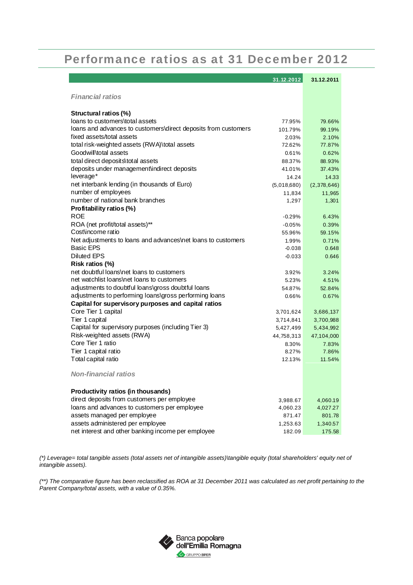### Performance ratios as at 31 December 2012

|                                                                | 31.12.2012  | 31.12.2011  |
|----------------------------------------------------------------|-------------|-------------|
| <b>Financial ratios</b>                                        |             |             |
|                                                                |             |             |
| Structural ratios (%)                                          |             |             |
| loans to customers\total assets                                | 77.95%      | 79.66%      |
| loans and advances to customers\direct deposits from customers | 101.79%     | 99.19%      |
| fixed assets/total assets                                      | 2.03%       | 2.10%       |
| total risk-weighted assets (RWA)\total assets                  | 72.62%      | 77.87%      |
| Goodwill\total assets                                          | 0.61%       | 0.62%       |
| total direct deposits\total assets                             | 88.37%      | 88.93%      |
| deposits under management indirect deposits                    | 41.01%      | 37.43%      |
| leverage*                                                      | 14.24       | 14.33       |
| net interbank lending (in thousands of Euro)                   | (5,018,680) | (2,378,646) |
| number of employees                                            | 11,834      | 11,965      |
| number of national bank branches                               | 1,297       | 1,301       |
| Profitability ratios (%)                                       |             |             |
| <b>ROE</b>                                                     | $-0.29%$    | 6.43%       |
| ROA (net profit/total assets)**                                | $-0.05%$    | 0.39%       |
| Cost\income ratio                                              | 55.96%      | 59.15%      |
| Net adjustments to loans and advances\net loans to customers   | 1.99%       | 0.71%       |
| <b>Basic EPS</b><br><b>Diluted EPS</b>                         | $-0.038$    | 0.648       |
| Risk ratios (%)                                                | $-0.033$    | 0.646       |
| net doubtful loans\net loans to customers                      | 3.92%       | 3.24%       |
| net watchlist loans\net loans to customers                     | 5.23%       | 4.51%       |
| adjustments to doubtful loans\gross doubtful loans             | 54.87%      | 52.84%      |
| adjustments to performing loans\gross performing loans         | 0.66%       | 0.67%       |
| Capital for supervisory purposes and capital ratios            |             |             |
| Core Tier 1 capital                                            | 3,701,624   | 3,686,137   |
| Tier 1 capital                                                 | 3,714,841   | 3,700,988   |
| Capital for supervisory purposes (including Tier 3)            | 5,427,499   | 5,434,992   |
| Risk-weighted assets (RWA)                                     | 44,758,313  | 47,104,000  |
| Core Tier 1 ratio                                              | 8.30%       | 7.83%       |
| Tier 1 capital ratio                                           | 8.27%       | 7.86%       |
| Total capital ratio                                            | 12.13%      | 11.54%      |
| <b>Non-financial ratios</b>                                    |             |             |
| Productivity ratios (in thousands)                             |             |             |
| direct deposits from customers per employee                    | 3,988.67    | 4,060.19    |
| loans and advances to customers per employee                   | 4,060.23    | 4,027.27    |
| assets managed per employee                                    | 871.47      | 801.78      |
| assets administered per employee                               | 1,253.63    | 1,340.57    |
| net interest and other banking income per employee             | 182.09      | 175.58      |
|                                                                |             |             |

*(\*) Leverage= total tangible assets (total assets net of intangible assets)\tangible equity (total shareholders' equity net of intangible assets).* 

*(\*\*) The comparative figure has been reclassified as ROA at 31 December 2011 was calculated as net profit pertaining to the Parent Company/total assets, with a value of 0.35%.* 

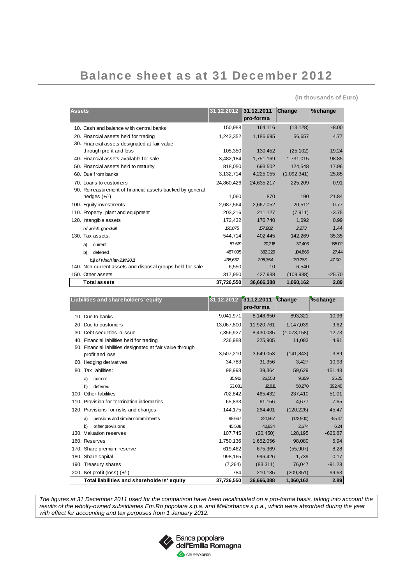## Balance sheet as at 31 December 2012

**(in thousands of Euro)** 

| <b>Assets</b>                                             | 31.12.2012 | 31.12.2011<br>pro-forma | Change      | %change  |
|-----------------------------------------------------------|------------|-------------------------|-------------|----------|
| 10. Cash and balance with central banks                   | 150,988    | 164,116                 | (13, 128)   | $-8.00$  |
| 20. Financial assets held for trading                     | 1,243,352  | 1,186,695               | 56,657      | 4.77     |
| 30. Financial assets designated at fair value             |            |                         |             |          |
| through profit and loss                                   | 105,350    | 130,452                 | (25, 102)   | $-19.24$ |
| 40. Financial assets available for sale                   | 3,482,184  | 1,751,169               | 1,731,015   | 98.85    |
| 50. Financial assets held to maturity                     | 818,050    | 693,502                 | 124,548     | 17.96    |
| 60. Due from banks                                        | 3,132,714  | 4,225,055               | (1,092,341) | $-25.85$ |
| 70. Loans to customers                                    | 24.860.426 | 24,635,217              | 225,209     | 0.91     |
| 90. Remeasurement of financial assets backed by general   |            |                         |             |          |
| hedges $(+/-)$                                            | 1.060      | 870                     | 190         | 21.84    |
| 100. Equity investments                                   | 2,687,564  | 2,667,052               | 20,512      | 0.77     |
| 110. Property, plant and equipment                        | 203,216    | 211,127                 | (7, 911)    | $-3.75$  |
| 120. Intangible assets                                    | 172,432    | 170,740                 | 1,692       | 0.99     |
| of which: goodwill                                        | 160.075    | 157.802                 | 2.273       | 1.44     |
| 130. Tax assets:                                          | 544,714    | 402,445                 | 142,269     | 35.35    |
| a)<br>current                                             | 57,619     | 20,216                  | 37,403      | 185.02   |
| b)<br>deferred                                            | 487.095    | 382.229                 | 104.866     | 27.44    |
| b1 of which law 214/2011                                  | 435.637    | 296.354                 | 139.283     | 47.00    |
| 140. Non-current assets and disposal groups held for sale | 6,550      | 10                      | 6,540       |          |
| 150. Other assets                                         | 317,950    | 427,938                 | (109, 988)  | $-25.70$ |
| <b>Total assets</b>                                       | 37,726,550 | 36,666,388              | 1,060,162   | 2.89     |

| Liabilities and shareholders' equity                       | 31.12.2012 | 31.12.2011<br>pro-forma | Change      | % change  |
|------------------------------------------------------------|------------|-------------------------|-------------|-----------|
| 10. Due to banks                                           | 9,041,971  | 8,148,650               | 893,321     | 10.96     |
| 20. Due to customers                                       | 13,067,800 | 11,920,761              | 1,147,039   | 9.62      |
| 30. Debt securities in issue                               | 7,356,927  | 8,430,085               | (1,073,158) | $-12.73$  |
| 40. Financial liabilities held for trading                 | 236,988    | 225,905                 | 11,083      | 4.91      |
| 50. Financial liabilities designated at fair value through |            |                         |             |           |
| profit and loss                                            | 3,507,210  | 3,649,053               | (141, 843)  | $-3.89$   |
| 60. Hedging derivatives                                    | 34,783     | 31,356                  | 3,427       | 10.93     |
| 80. Tax liabilities:                                       | 98,993     | 39,364                  | 59,629      | 151.48    |
| a)<br>current                                              | 35,912     | 26.553                  | 9,359       | 35.25     |
| b)<br>deferred                                             | 63,081     | 12,811                  | 50.270      | 392.40    |
| 100. Other liabilities                                     | 702,842    | 465,432                 | 237,410     | 51.01     |
| 110. Provision for termination indemnities                 | 65.833     | 61,156                  | 4.677       | 7.65      |
| 120. Provisions for risks and charges:                     | 144,175    | 264,401                 | (120, 226)  | $-45.47$  |
| pensions and similar commitments<br>a)                     | 98,667     | 221567                  | (122,900)   | $-55.47$  |
| b)<br>other provisions                                     | 45.508     | 42.834                  | 2.674       | 6.24      |
| 130. Valuation reserves                                    | 107,745    | (20, 450)               | 128,195     | $-626.87$ |
| 160. Reserves                                              | 1,750,136  | 1,652,056               | 98.080      | 5.94      |
| 170. Share premium reserve                                 | 619,462    | 675,369                 | (55,907)    | $-8.28$   |
| 180. Share capital                                         | 998,165    | 996,426                 | 1.739       | 0.17      |
| 190. Treasury shares                                       | (7, 264)   | (83, 311)               | 76,047      | $-91.28$  |
| 200. Net profit ( $\cos$ ) $(+/-)$                         | 784        | 210,135                 | (209, 351)  | $-99.63$  |
| Total liabilities and shareholders' equity                 | 37,726,550 | 36,666,388              | 1,060,162   | 2.89      |

*The figures at 31 December 2011 used for the comparison have been recalculated on a pro-forma basis, taking into account the results of the wholly-owned subsidiaries Em.Ro popolare s.p.a. and Meliorbanca s.p.a., which were absorbed during the year with effect for accounting and tax purposes from 1 January 2012.* 

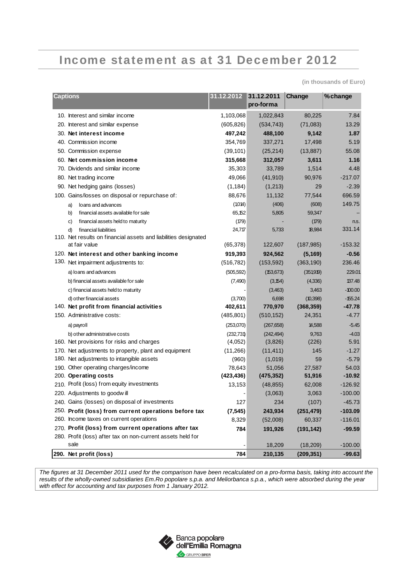## Income statement as at 31 December 2012

**(in thousands of Euro)** 

| <b>Captions</b>                                                                                    | 31.12.2012 31.12.2011 | pro-forma         | Change       | % change         |
|----------------------------------------------------------------------------------------------------|-----------------------|-------------------|--------------|------------------|
| 10. Interest and similar income                                                                    | 1,103,068             | 1,022,843         | 80,225       | 7.84             |
| 20. Interest and similar expense                                                                   | (605, 826)            | (534, 743)        | (71,083)     | 13.29            |
| 30. Net interest income                                                                            | 497,242               | 488,100           | 9,142        | 1.87             |
| 40. Commission income                                                                              | 354,769               | 337,271           | 17,498       | 5.19             |
| 50. Commission expense                                                                             | (39, 101)             | (25, 214)         | (13, 887)    | 55.08            |
| 60. Net commission income                                                                          | 315,668               | 312,057           | 3,611        | 1.16             |
| 70. Dividends and similar income                                                                   | 35,303                | 33,789            | 1,514        | 4.48             |
| 80. Net trading income                                                                             | 49,066                | (41, 910)         | 90,976       | $-217.07$        |
| 90. Net hedging gains (losses)                                                                     | (1, 184)              | (1,213)           | 29           | $-2.39$          |
| 100. Gains/losses on disposal or repurchase of:                                                    | 88,676                | 11,132            | 77,544       | 696.59           |
| loans and advances<br>a)                                                                           | (1,014)               | (406)             | (608)        | 149.75           |
| b)<br>financial assets available for sale                                                          | 65,152                | 5,805             | 59,347       |                  |
| financial assets held to maturity<br>c)                                                            | (179)                 |                   | (179)        | n.s.             |
| d)<br>financial liabilities                                                                        | 24,717                | 5,733             | 18,984       | 331.14           |
| 110. Net results on financial assets and liabilities designated                                    |                       |                   |              |                  |
| at fair value                                                                                      | (65, 378)             | 122,607           | (187, 985)   | $-153.32$        |
| 120. Net interest and other banking income                                                         | 919,393               | 924,562           | (5, 169)     | $-0.56$          |
| 130. Net impairment adjustments to:                                                                | (516, 782)            | (153, 592)        | (363, 190)   | 236.46           |
| a) loans and advances                                                                              | (505, 592)            | (153, 673)        | (351,919)    | 229.01           |
| b) financial assets available for sale                                                             | (7,490)               | (3, 154)          | (4,336)      | 137.48           |
| c) financial assets held to maturity                                                               |                       | (3,463)           | 3,463        | $-100.00$        |
| d) other financial assets                                                                          | (3,700)               | 6,698             | (10, 398)    | $-155.24$        |
| 140. Net profit from financial activities                                                          | 402,611               | 770,970           | (368, 359)   | $-47.78$         |
| 150. Administrative costs:                                                                         | (485, 801)            | (510, 152)        | 24,351       | $-4.77$          |
| a) payroll                                                                                         | (253,070)             | (267, 658)        | 14,588       | $-5.45$          |
| b) other administrative costs                                                                      | (232,731)             | (242, 494)        | 9,763        | $-4.03$          |
| 160. Net provisions for risks and charges                                                          | (4,052)               | (3,826)           | (226)        | 5.91             |
| 170. Net adjustments to property, plant and equipment<br>180. Net adjustments to intangible assets | (11, 266)             | (11, 411)         | 145          | $-1.27$          |
| 190. Other operating charges/income                                                                | (960)<br>78,643       | (1,019)<br>51,056 | 59<br>27,587 | $-5.79$<br>54.03 |
| 200. Operating costs                                                                               | (423, 436)            | (475, 352)        | 51,916       | $-10.92$         |
| 210. Profit (loss) from equity investments                                                         | 13,153                | (48, 855)         | 62,008       | $-126.92$        |
| 220. Adjustments to goodwill                                                                       |                       | (3,063)           | 3,063        | $-100.00$        |
| 240. Gains (losses) on disposal of investments                                                     | 127                   | 234               | (107)        | $-45.73$         |
| 250. Profit (loss) from current operations before tax                                              | (7, 545)              | 243,934           | (251, 479)   | $-103.09$        |
| 260. Income taxes on current operations                                                            | 8,329                 | (52,008)          | 60,337       | $-116.01$        |
| 270. Profit (loss) from current operations after tax                                               | 784                   | 191,926           | (191, 142)   | $-99.59$         |
| 280. Profit (loss) after tax on non-current assets held for                                        |                       |                   |              |                  |
| sale                                                                                               |                       | 18,209            | (18, 209)    | $-100.00$        |
| 290. Net profit (loss)                                                                             | 784                   | 210,135           | (209, 351)   | $-99.63$         |

*The figures at 31 December 2011 used for the comparison have been recalculated on a pro-forma basis, taking into account the results of the wholly-owned subsidiaries Em.Ro popolare s.p.a. and Meliorbanca s.p.a., which were absorbed during the year with effect for accounting and tax purposes from 1 January 2012.* 

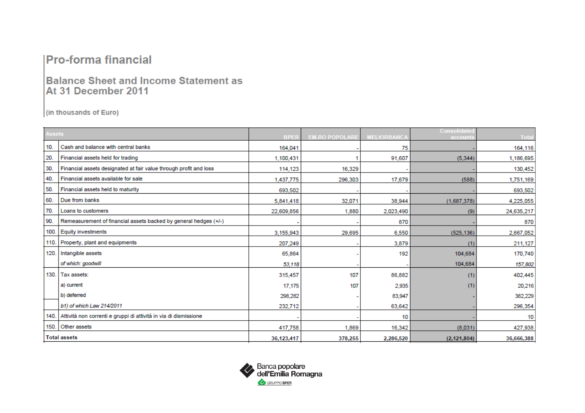### **Pro-forma financial**

### **Balance Sheet and Income Statement as** At 31 December 2011

(in thousands of Euro)

| <b>Assets</b> |                                                                   |             |                       |                    | Consolidate   |            |
|---------------|-------------------------------------------------------------------|-------------|-----------------------|--------------------|---------------|------------|
|               |                                                                   | <b>BPER</b> | <b>EM.RO POPOLARE</b> | <b>MELIORBANCA</b> | account       | Total      |
| 10.           | Cash and balance with central banks                               | 164,041     |                       | 75                 |               | 164,116    |
| 20.           | Financial assets held for trading                                 | 1.100.431   |                       | 91.607             | (5.344)       | 1,186,695  |
| 30.           | Financial assets designated at fair value through profit and loss | 114,123     | 16,329                |                    |               | 130,452    |
| 40.           | Financial assets available for sale                               | 1,437,775   | 296,303               | 17,679             | (588)         | 1,751,169  |
| 50.           | Financial assets held to maturity                                 | 693,502     |                       |                    |               | 693,502    |
| 60.           | Due from banks                                                    | 5,841,418   | 32,071                | 38.944             | (1,687,378)   | 4,225,055  |
| 70.           | Loans to customers                                                | 22,609,856  | 1,880                 | 2,023,490          | (9)           | 24,635,217 |
| 90.           | Remeasurement of financial assets backed by general hedges (+/-)  |             |                       | 870                |               | 870        |
| 100.          | <b>Equity investments</b>                                         | 3,155,943   | 29,695                | 6,550              | (525, 136)    | 2,667,052  |
| 110.          | Property, plant and equipments                                    | 207,249     |                       | 3,879              | (1)           | 211,127    |
| 120.          | Intangible assets                                                 | 65,864      |                       | 192                | 104,684       | 170,740    |
|               | of which: goodwill                                                | 53,118      |                       |                    | 104,684       | 157,802    |
| 130.          | Tax assets:                                                       | 315,457     | 107                   | 86,882             | (1)           | 402,445    |
|               | a) current                                                        | 17,175      | 107                   | 2,935              | (1)           | 20,216     |
|               | b) deferred                                                       | 298,282     |                       | 83,947             |               | 382,229    |
|               | b1) of which Law 214/2011                                         | 232,712     |                       | 63,642             |               | 296,354    |
| 140.          | Attività non correnti e gruppi di attività in via di dismissione  |             |                       | 10                 |               | 10         |
|               | 150. Other assets                                                 | 417,758     | 1,869                 | 16.342             | (8.031)       | 427,938    |
|               | <b>Total assets</b>                                               | 36,123,417  | 378,255               | 2,286,520          | (2, 121, 804) | 36,666,388 |

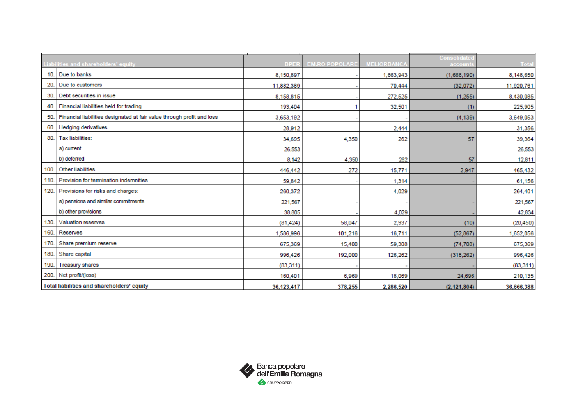|      | Liabilities and shareholders' equity                                   | <b>BPER</b> | <b>EM.RO POPOLARE</b> | <b>MELIORBANCA</b> | <b>Consolidate</b><br>account | <b>Total</b> |
|------|------------------------------------------------------------------------|-------------|-----------------------|--------------------|-------------------------------|--------------|
| 10.  | Due to banks                                                           | 8,150,897   |                       | 1,663,943          | (1,666,190)                   | 8,148,650    |
| 20.  | Due to customers                                                       | 11,882,389  |                       | 70,444             | (32,072)                      | 11,920,761   |
| 30.  | Debt securities in issue                                               | 8,158,815   |                       | 272,525            | (1, 255)                      | 8,430,085    |
| 40.  | Financial liabilities held for trading                                 | 193,404     |                       | 32,501             | (1)                           | 225,905      |
| 50.  | Financial liabilities designated at fair value through profit and loss | 3,653,192   |                       |                    | (4, 139)                      | 3,649,053    |
| 60.  | <b>Hedging derivatives</b>                                             | 28.912      |                       | 2,444              |                               | 31,356       |
| 80.  | Tax liabilities:                                                       | 34,695      | 4,350                 | 262                | 57                            | 39,364       |
|      | a) current                                                             | 26,553      |                       |                    |                               | 26,553       |
|      | b) deferred                                                            | 8,142       | 4,350                 | 262                | 57                            | 12,811       |
| 100  | Other liabilities                                                      | 446,442     | 272                   | 15,771             | 2,947                         | 465,432      |
| 110. | Provision for termination indemnities                                  | 59,842      |                       | 1,314              |                               | 61,156       |
| 120. | Provisions for risks and charges:                                      | 260,372     |                       | 4,029              |                               | 264,401      |
|      | a) pensions and similar commitments                                    | 221,567     |                       |                    |                               | 221,567      |
|      | b) other provisions                                                    | 38,805      |                       | 4,029              |                               | 42,834       |
| 130. | Valuation reserves                                                     | (81, 424)   | 58,047                | 2,937              | (10)                          | (20, 450)    |
| 160. | Reserves                                                               | 1.586.996   | 101.216               | 16,711             | (52.867)                      | 1,652,056    |
| 170. | Share premium reserve                                                  | 675,369     | 15,400                | 59,308             | (74, 708)                     | 675,369      |
| 180. | Share capital                                                          | 996,426     | 192,000               | 126,262            | (318, 262)                    | 996,426      |
| 190. | <b>Treasury shares</b>                                                 | (83, 311)   |                       |                    |                               | (83, 311)    |
| 200. | Net profit/(loss)                                                      | 160,401     | 6,969                 | 18,069             | 24,696                        | 210,135      |
|      | Total liabilities and shareholders' equity                             | 36,123,417  | 378,255               | 2,286,520          | (2, 121, 804)                 | 36,666,388   |